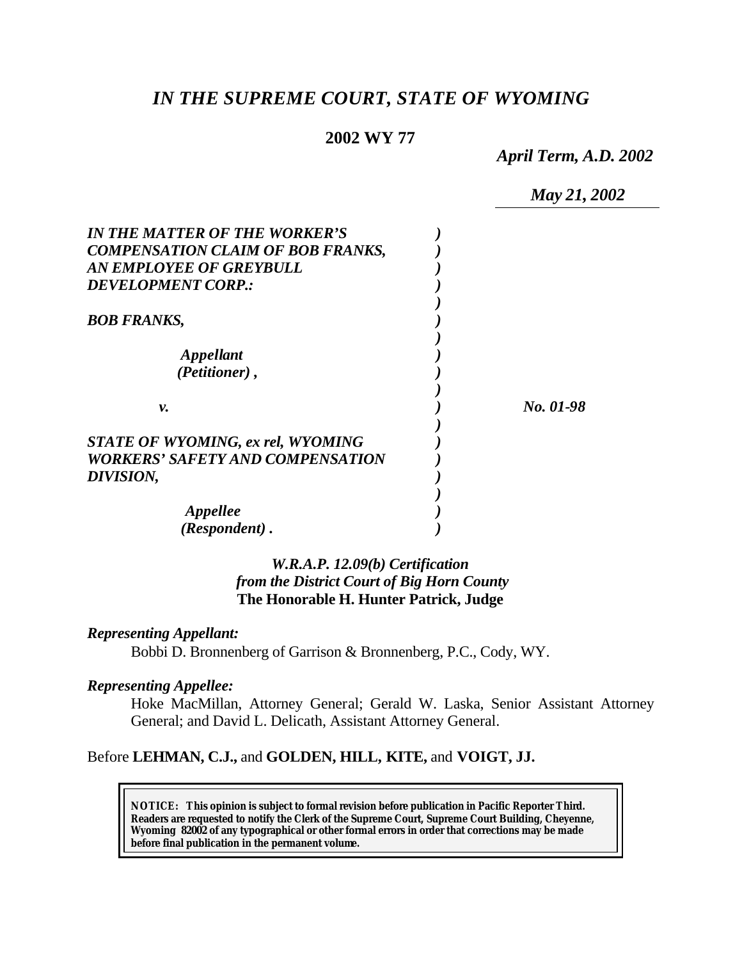# *IN THE SUPREME COURT, STATE OF WYOMING*

### **2002 WY 77**

*April Term, A.D. 2002*

|                                         | May 21, 2002 |
|-----------------------------------------|--------------|
| IN THE MATTER OF THE WORKER'S           |              |
| COMPENSATION CLAIM OF BOB FRANKS,       |              |
| AN EMPLOYEE OF GREYBULL                 |              |
| <b>DEVELOPMENT CORP.:</b>               |              |
|                                         |              |
| BOB FRANKS,                             |              |
|                                         |              |
| <i><b>Appellant</b></i>                 |              |
| (Petitioner),                           |              |
|                                         |              |
| ν.                                      | No. 01-98    |
|                                         |              |
| STATE OF WYOMING, ex rel, WYOMING       |              |
| <b>WORKERS' SAFETY AND COMPENSATION</b> |              |
| <i><b>DIVISION,</b></i>                 |              |
|                                         |              |
| Appellee                                |              |
| (Respondent).                           |              |

## *W.R.A.P. 12.09(b) Certification from the District Court of Big Horn County* **The Honorable H. Hunter Patrick, Judge**

#### *Representing Appellant:*

Bobbi D. Bronnenberg of Garrison & Bronnenberg, P.C., Cody, WY.

#### *Representing Appellee:*

Hoke MacMillan, Attorney General; Gerald W. Laska, Senior Assistant Attorney General; and David L. Delicath, Assistant Attorney General.

## Before **LEHMAN, C.J.,** and **GOLDEN, HILL, KITE,** and **VOIGT, JJ.**

**NOTICE:** *This opinion is subject to formal revision before publication in Pacific Reporter Third. Readers are requested to notify the Clerk of the Supreme Court, Supreme Court Building, Cheyenne, Wyoming 82002 of any typographical or other formal errors in order that corrections may be made before final publication in the permanent volume.*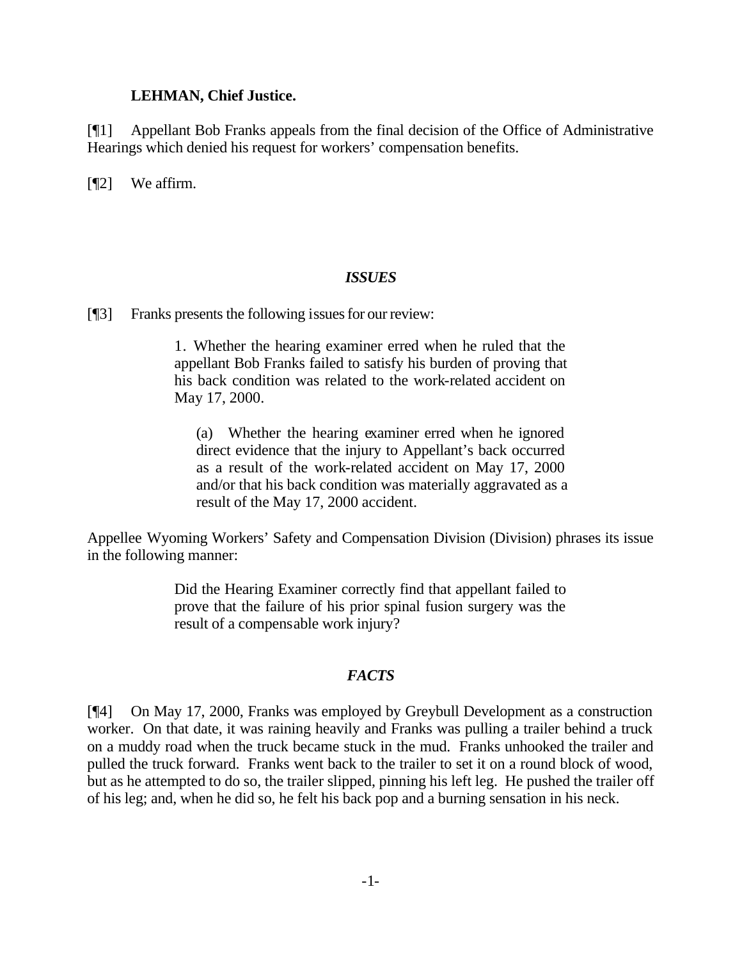#### **LEHMAN, Chief Justice.**

[¶1] Appellant Bob Franks appeals from the final decision of the Office of Administrative Hearings which denied his request for workers' compensation benefits.

[**[**[2] We affirm.

### *ISSUES*

[¶3] Franks presents the following issues for our review:

1. Whether the hearing examiner erred when he ruled that the appellant Bob Franks failed to satisfy his burden of proving that his back condition was related to the work-related accident on May 17, 2000.

(a) Whether the hearing examiner erred when he ignored direct evidence that the injury to Appellant's back occurred as a result of the work-related accident on May 17, 2000 and/or that his back condition was materially aggravated as a result of the May 17, 2000 accident.

Appellee Wyoming Workers' Safety and Compensation Division (Division) phrases its issue in the following manner:

> Did the Hearing Examiner correctly find that appellant failed to prove that the failure of his prior spinal fusion surgery was the result of a compensable work injury?

### *FACTS*

[¶4] On May 17, 2000, Franks was employed by Greybull Development as a construction worker. On that date, it was raining heavily and Franks was pulling a trailer behind a truck on a muddy road when the truck became stuck in the mud. Franks unhooked the trailer and pulled the truck forward. Franks went back to the trailer to set it on a round block of wood, but as he attempted to do so, the trailer slipped, pinning his left leg. He pushed the trailer off of his leg; and, when he did so, he felt his back pop and a burning sensation in his neck.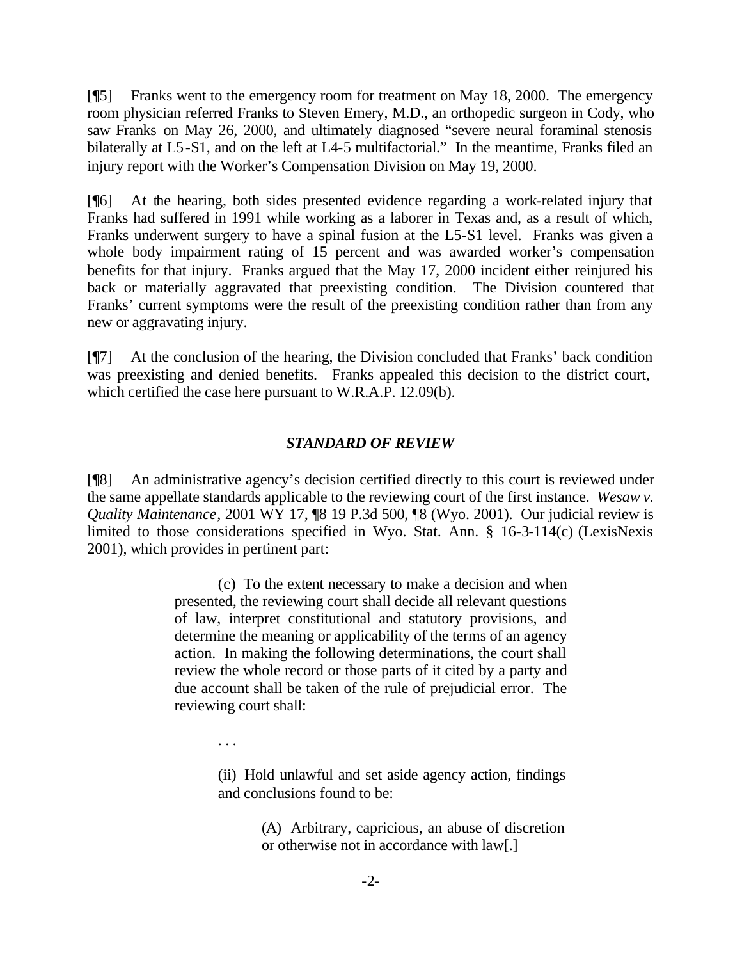[¶5] Franks went to the emergency room for treatment on May 18, 2000. The emergency room physician referred Franks to Steven Emery, M.D., an orthopedic surgeon in Cody, who saw Franks on May 26, 2000, and ultimately diagnosed "severe neural foraminal stenosis bilaterally at L5-S1, and on the left at L4-5 multifactorial." In the meantime, Franks filed an injury report with the Worker's Compensation Division on May 19, 2000.

[¶6] At the hearing, both sides presented evidence regarding a work-related injury that Franks had suffered in 1991 while working as a laborer in Texas and, as a result of which, Franks underwent surgery to have a spinal fusion at the L5-S1 level. Franks was given a whole body impairment rating of 15 percent and was awarded worker's compensation benefits for that injury. Franks argued that the May 17, 2000 incident either reinjured his back or materially aggravated that preexisting condition. The Division countered that Franks' current symptoms were the result of the preexisting condition rather than from any new or aggravating injury.

[¶7] At the conclusion of the hearing, the Division concluded that Franks' back condition was preexisting and denied benefits. Franks appealed this decision to the district court, which certified the case here pursuant to W.R.A.P. 12.09(b).

### *STANDARD OF REVIEW*

[¶8] An administrative agency's decision certified directly to this court is reviewed under the same appellate standards applicable to the reviewing court of the first instance. *Wesaw v. Quality Maintenance*, 2001 WY 17, ¶8 19 P.3d 500, ¶8 (Wyo. 2001). Our judicial review is limited to those considerations specified in Wyo. Stat. Ann. § 16-3-114(c) (LexisNexis 2001), which provides in pertinent part:

> (c) To the extent necessary to make a decision and when presented, the reviewing court shall decide all relevant questions of law, interpret constitutional and statutory provisions, and determine the meaning or applicability of the terms of an agency action. In making the following determinations, the court shall review the whole record or those parts of it cited by a party and due account shall be taken of the rule of prejudicial error. The reviewing court shall:

> > . . .

(ii) Hold unlawful and set aside agency action, findings and conclusions found to be:

> (A) Arbitrary, capricious, an abuse of discretion or otherwise not in accordance with law[.]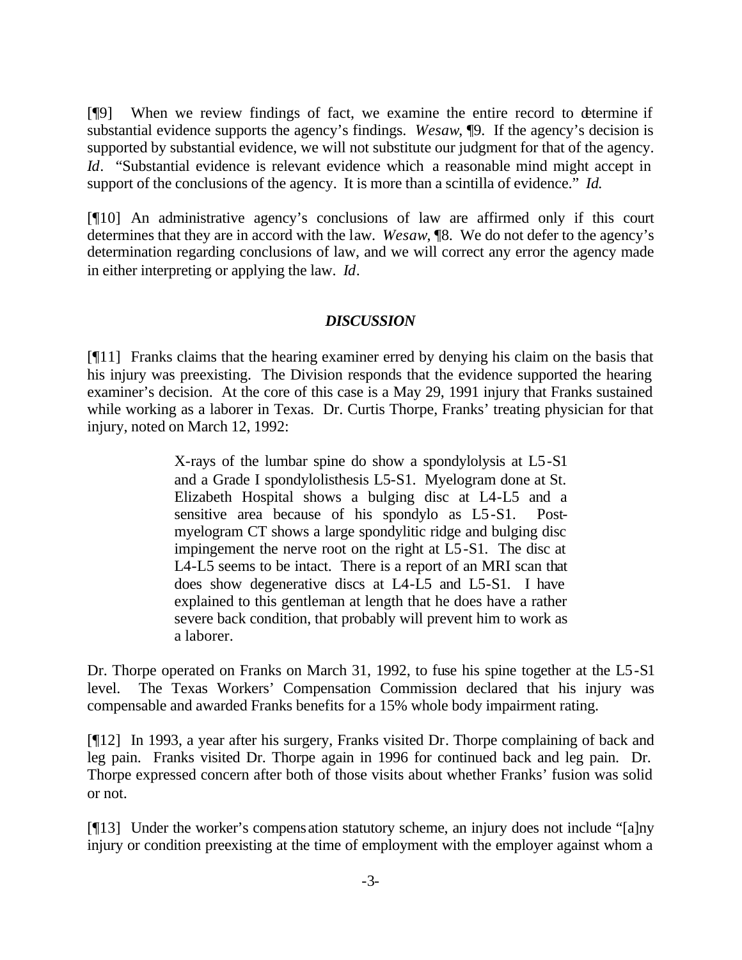[¶9] When we review findings of fact, we examine the entire record to determine if substantial evidence supports the agency's findings. *Wesaw*, ¶9. If the agency's decision is supported by substantial evidence, we will not substitute our judgment for that of the agency. *Id.* "Substantial evidence is relevant evidence which a reasonable mind might accept in support of the conclusions of the agency. It is more than a scintilla of evidence." *Id.* 

[¶10] An administrative agency's conclusions of law are affirmed only if this court determines that they are in accord with the law. *Wesaw*, ¶8. We do not defer to the agency's determination regarding conclusions of law, and we will correct any error the agency made in either interpreting or applying the law. *Id*.

### *DISCUSSION*

[¶11] Franks claims that the hearing examiner erred by denying his claim on the basis that his injury was preexisting. The Division responds that the evidence supported the hearing examiner's decision. At the core of this case is a May 29, 1991 injury that Franks sustained while working as a laborer in Texas. Dr. Curtis Thorpe, Franks' treating physician for that injury, noted on March 12, 1992:

> X-rays of the lumbar spine do show a spondylolysis at L5-S1 and a Grade I spondylolisthesis L5-S1. Myelogram done at St. Elizabeth Hospital shows a bulging disc at L4-L5 and a sensitive area because of his spondylo as L5-S1. Postmyelogram CT shows a large spondylitic ridge and bulging disc impingement the nerve root on the right at L5-S1. The disc at L4-L5 seems to be intact. There is a report of an MRI scan that does show degenerative discs at L4-L5 and L5-S1. I have explained to this gentleman at length that he does have a rather severe back condition, that probably will prevent him to work as a laborer.

Dr. Thorpe operated on Franks on March 31, 1992, to fuse his spine together at the L5-S1 level. The Texas Workers' Compensation Commission declared that his injury was compensable and awarded Franks benefits for a 15% whole body impairment rating.

[¶12] In 1993, a year after his surgery, Franks visited Dr. Thorpe complaining of back and leg pain. Franks visited Dr. Thorpe again in 1996 for continued back and leg pain. Dr. Thorpe expressed concern after both of those visits about whether Franks' fusion was solid or not.

[¶13] Under the worker's compensation statutory scheme, an injury does not include "[a]ny injury or condition preexisting at the time of employment with the employer against whom a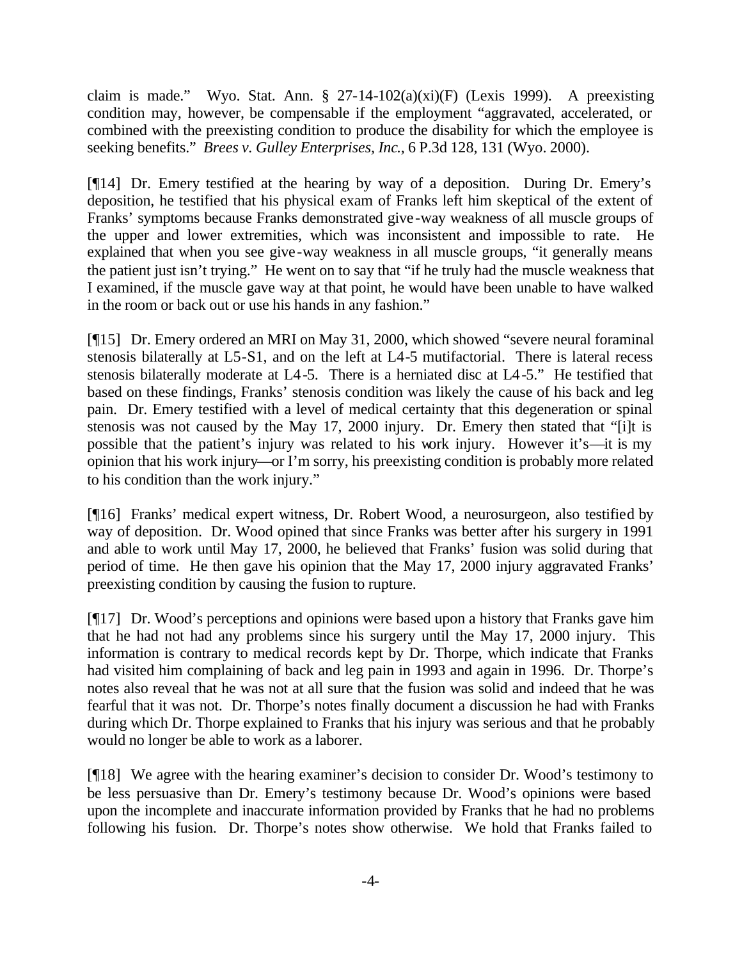claim is made." Wyo. Stat. Ann. § 27-14-102(a)(xi)(F) (Lexis 1999). A preexisting condition may, however, be compensable if the employment "aggravated, accelerated, or combined with the preexisting condition to produce the disability for which the employee is seeking benefits." *Brees v. Gulley Enterprises, Inc*., 6 P.3d 128, 131 (Wyo. 2000).

[¶14] Dr. Emery testified at the hearing by way of a deposition. During Dr. Emery's deposition, he testified that his physical exam of Franks left him skeptical of the extent of Franks' symptoms because Franks demonstrated give-way weakness of all muscle groups of the upper and lower extremities, which was inconsistent and impossible to rate. He explained that when you see give-way weakness in all muscle groups, "it generally means the patient just isn't trying." He went on to say that "if he truly had the muscle weakness that I examined, if the muscle gave way at that point, he would have been unable to have walked in the room or back out or use his hands in any fashion."

[¶15] Dr. Emery ordered an MRI on May 31, 2000, which showed "severe neural foraminal stenosis bilaterally at L5-S1, and on the left at L4-5 mutifactorial. There is lateral recess stenosis bilaterally moderate at L4-5. There is a herniated disc at L4-5." He testified that based on these findings, Franks' stenosis condition was likely the cause of his back and leg pain. Dr. Emery testified with a level of medical certainty that this degeneration or spinal stenosis was not caused by the May 17, 2000 injury. Dr. Emery then stated that "[i]t is possible that the patient's injury was related to his work injury. However it's—it is my opinion that his work injury—or I'm sorry, his preexisting condition is probably more related to his condition than the work injury."

[¶16] Franks' medical expert witness, Dr. Robert Wood, a neurosurgeon, also testified by way of deposition. Dr. Wood opined that since Franks was better after his surgery in 1991 and able to work until May 17, 2000, he believed that Franks' fusion was solid during that period of time. He then gave his opinion that the May 17, 2000 injury aggravated Franks' preexisting condition by causing the fusion to rupture.

[¶17] Dr. Wood's perceptions and opinions were based upon a history that Franks gave him that he had not had any problems since his surgery until the May 17, 2000 injury. This information is contrary to medical records kept by Dr. Thorpe, which indicate that Franks had visited him complaining of back and leg pain in 1993 and again in 1996. Dr. Thorpe's notes also reveal that he was not at all sure that the fusion was solid and indeed that he was fearful that it was not. Dr. Thorpe's notes finally document a discussion he had with Franks during which Dr. Thorpe explained to Franks that his injury was serious and that he probably would no longer be able to work as a laborer.

[¶18] We agree with the hearing examiner's decision to consider Dr. Wood's testimony to be less persuasive than Dr. Emery's testimony because Dr. Wood's opinions were based upon the incomplete and inaccurate information provided by Franks that he had no problems following his fusion. Dr. Thorpe's notes show otherwise. We hold that Franks failed to